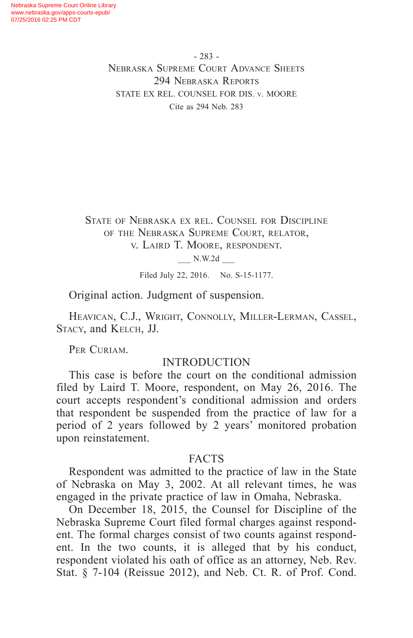- 283 - Nebraska Supreme Court Advance Sheets 294 Nebraska Reports STATE EX REL. COUNSEL FOR DIS. v. MOORE Cite as 294 Neb. 283

State of Nebraska ex rel. Counsel for Discipline of the Nebraska Supreme Court, relator, v. Laird T. Moore, respondent.

\_\_\_ N.W.2d \_\_\_

Filed July 22, 2016. No. S-15-1177.

Original action. Judgment of suspension.

Heavican, C.J., Wright, Connolly, Miller-Lerman, Cassel, Stacy, and Kelch, JJ.

PER CURIAM.

# **INTRODUCTION**

This case is before the court on the conditional admission filed by Laird T. Moore, respondent, on May 26, 2016. The court accepts respondent's conditional admission and orders that respondent be suspended from the practice of law for a period of 2 years followed by 2 years' monitored probation upon reinstatement.

### FACTS

Respondent was admitted to the practice of law in the State of Nebraska on May 3, 2002. At all relevant times, he was engaged in the private practice of law in Omaha, Nebraska.

On December 18, 2015, the Counsel for Discipline of the Nebraska Supreme Court filed formal charges against respondent. The formal charges consist of two counts against respondent. In the two counts, it is alleged that by his conduct, respondent violated his oath of office as an attorney, Neb. Rev. Stat. § 7-104 (Reissue 2012), and Neb. Ct. R. of Prof. Cond.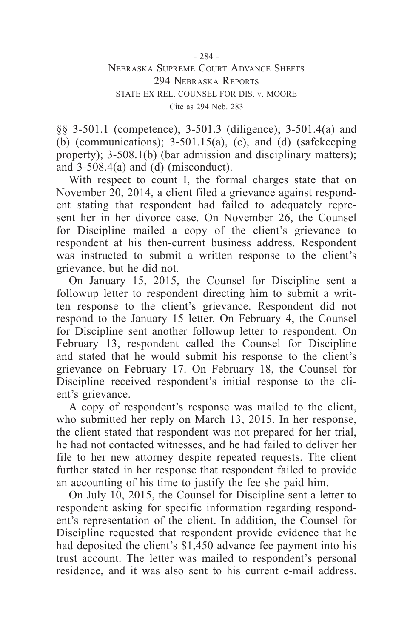- 284 -

### Nebraska Supreme Court Advance Sheets 294 Nebraska Reports STATE EX REL. COUNSEL FOR DIS. v. MOORE Cite as 294 Neb. 283

§§ 3-501.1 (competence); 3-501.3 (diligence); 3-501.4(a) and (b) (communications);  $3-501.15(a)$ , (c), and (d) (safekeeping property); 3-508.1(b) (bar admission and disciplinary matters); and  $3-508.4(a)$  and (d) (misconduct).

With respect to count I, the formal charges state that on November 20, 2014, a client filed a grievance against respondent stating that respondent had failed to adequately represent her in her divorce case. On November 26, the Counsel for Discipline mailed a copy of the client's grievance to respondent at his then-current business address. Respondent was instructed to submit a written response to the client's grievance, but he did not.

On January 15, 2015, the Counsel for Discipline sent a followup letter to respondent directing him to submit a written response to the client's grievance. Respondent did not respond to the January 15 letter. On February 4, the Counsel for Discipline sent another followup letter to respondent. On February 13, respondent called the Counsel for Discipline and stated that he would submit his response to the client's grievance on February 17. On February 18, the Counsel for Discipline received respondent's initial response to the client's grievance.

A copy of respondent's response was mailed to the client, who submitted her reply on March 13, 2015. In her response, the client stated that respondent was not prepared for her trial, he had not contacted witnesses, and he had failed to deliver her file to her new attorney despite repeated requests. The client further stated in her response that respondent failed to provide an accounting of his time to justify the fee she paid him.

On July 10, 2015, the Counsel for Discipline sent a letter to respondent asking for specific information regarding respondent's representation of the client. In addition, the Counsel for Discipline requested that respondent provide evidence that he had deposited the client's \$1,450 advance fee payment into his trust account. The letter was mailed to respondent's personal residence, and it was also sent to his current e-mail address.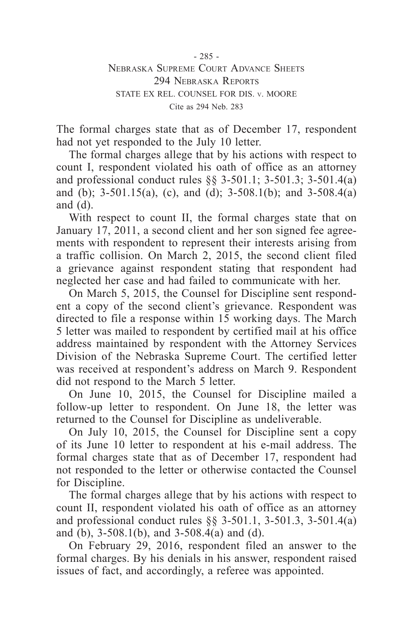- 285 - Nebraska Supreme Court Advance Sheets 294 Nebraska Reports STATE EX REL. COUNSEL FOR DIS. v. MOORE Cite as 294 Neb. 283

The formal charges state that as of December 17, respondent had not yet responded to the July 10 letter.

The formal charges allege that by his actions with respect to count I, respondent violated his oath of office as an attorney and professional conduct rules §§ 3-501.1; 3-501.3; 3-501.4(a) and (b);  $3-501.15(a)$ , (c), and (d);  $3-508.1(b)$ ; and  $3-508.4(a)$ and (d).

With respect to count II, the formal charges state that on January 17, 2011, a second client and her son signed fee agreements with respondent to represent their interests arising from a traffic collision. On March 2, 2015, the second client filed a grievance against respondent stating that respondent had neglected her case and had failed to communicate with her.

On March 5, 2015, the Counsel for Discipline sent respondent a copy of the second client's grievance. Respondent was directed to file a response within 15 working days. The March 5 letter was mailed to respondent by certified mail at his office address maintained by respondent with the Attorney Services Division of the Nebraska Supreme Court. The certified letter was received at respondent's address on March 9. Respondent did not respond to the March 5 letter.

On June 10, 2015, the Counsel for Discipline mailed a follow-up letter to respondent. On June 18, the letter was returned to the Counsel for Discipline as undeliverable.

On July 10, 2015, the Counsel for Discipline sent a copy of its June 10 letter to respondent at his e-mail address. The formal charges state that as of December 17, respondent had not responded to the letter or otherwise contacted the Counsel for Discipline.

The formal charges allege that by his actions with respect to count II, respondent violated his oath of office as an attorney and professional conduct rules §§ 3-501.1, 3-501.3, 3-501.4(a) and (b), 3-508.1(b), and 3-508.4(a) and (d).

On February 29, 2016, respondent filed an answer to the formal charges. By his denials in his answer, respondent raised issues of fact, and accordingly, a referee was appointed.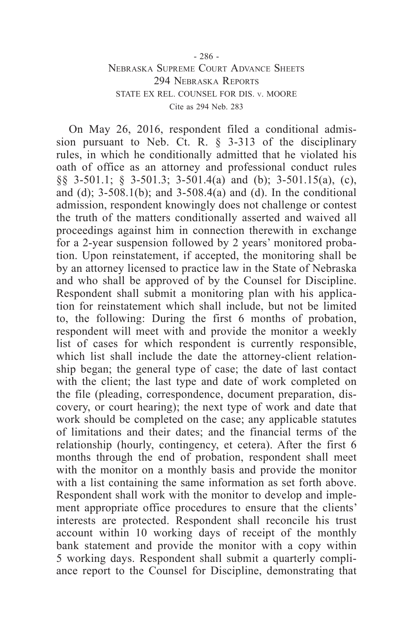### - 286 - Nebraska Supreme Court Advance Sheets 294 Nebraska Reports STATE EX REL. COUNSEL FOR DIS. v. MOORE Cite as 294 Neb. 283

On May 26, 2016, respondent filed a conditional admission pursuant to Neb. Ct. R. § 3-313 of the disciplinary rules, in which he conditionally admitted that he violated his oath of office as an attorney and professional conduct rules §§ 3-501.1; § 3-501.3; 3-501.4(a) and (b); 3-501.15(a), (c), and (d);  $3-508.1(b)$ ; and  $3-508.4(a)$  and (d). In the conditional admission, respondent knowingly does not challenge or contest the truth of the matters conditionally asserted and waived all proceedings against him in connection therewith in exchange for a 2-year suspension followed by 2 years' monitored probation. Upon reinstatement, if accepted, the monitoring shall be by an attorney licensed to practice law in the State of Nebraska and who shall be approved of by the Counsel for Discipline. Respondent shall submit a monitoring plan with his application for reinstatement which shall include, but not be limited to, the following: During the first 6 months of probation, respondent will meet with and provide the monitor a weekly list of cases for which respondent is currently responsible, which list shall include the date the attorney-client relationship began; the general type of case; the date of last contact with the client; the last type and date of work completed on the file (pleading, correspondence, document preparation, discovery, or court hearing); the next type of work and date that work should be completed on the case; any applicable statutes of limitations and their dates; and the financial terms of the relationship (hourly, contingency, et cetera). After the first 6 months through the end of probation, respondent shall meet with the monitor on a monthly basis and provide the monitor with a list containing the same information as set forth above. Respondent shall work with the monitor to develop and implement appropriate office procedures to ensure that the clients' interests are protected. Respondent shall reconcile his trust account within 10 working days of receipt of the monthly bank statement and provide the monitor with a copy within 5 working days. Respondent shall submit a quarterly compliance report to the Counsel for Discipline, demonstrating that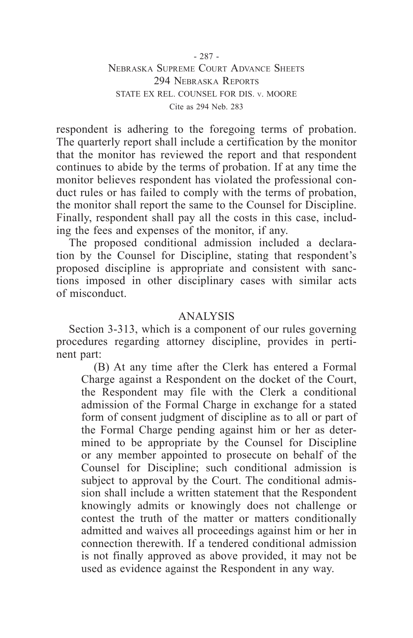- 287 - Nebraska Supreme Court Advance Sheets 294 Nebraska Reports STATE EX REL. COUNSEL FOR DIS. v. MOORE Cite as 294 Neb. 283

respondent is adhering to the foregoing terms of probation. The quarterly report shall include a certification by the monitor that the monitor has reviewed the report and that respondent continues to abide by the terms of probation. If at any time the monitor believes respondent has violated the professional conduct rules or has failed to comply with the terms of probation, the monitor shall report the same to the Counsel for Discipline. Finally, respondent shall pay all the costs in this case, including the fees and expenses of the monitor, if any.

The proposed conditional admission included a declaration by the Counsel for Discipline, stating that respondent's proposed discipline is appropriate and consistent with sanctions imposed in other disciplinary cases with similar acts of misconduct.

# ANALYSIS

Section 3-313, which is a component of our rules governing procedures regarding attorney discipline, provides in pertinent part:

(B) At any time after the Clerk has entered a Formal Charge against a Respondent on the docket of the Court, the Respondent may file with the Clerk a conditional admission of the Formal Charge in exchange for a stated form of consent judgment of discipline as to all or part of the Formal Charge pending against him or her as determined to be appropriate by the Counsel for Discipline or any member appointed to prosecute on behalf of the Counsel for Discipline; such conditional admission is subject to approval by the Court. The conditional admission shall include a written statement that the Respondent knowingly admits or knowingly does not challenge or contest the truth of the matter or matters conditionally admitted and waives all proceedings against him or her in connection therewith. If a tendered conditional admission is not finally approved as above provided, it may not be used as evidence against the Respondent in any way.